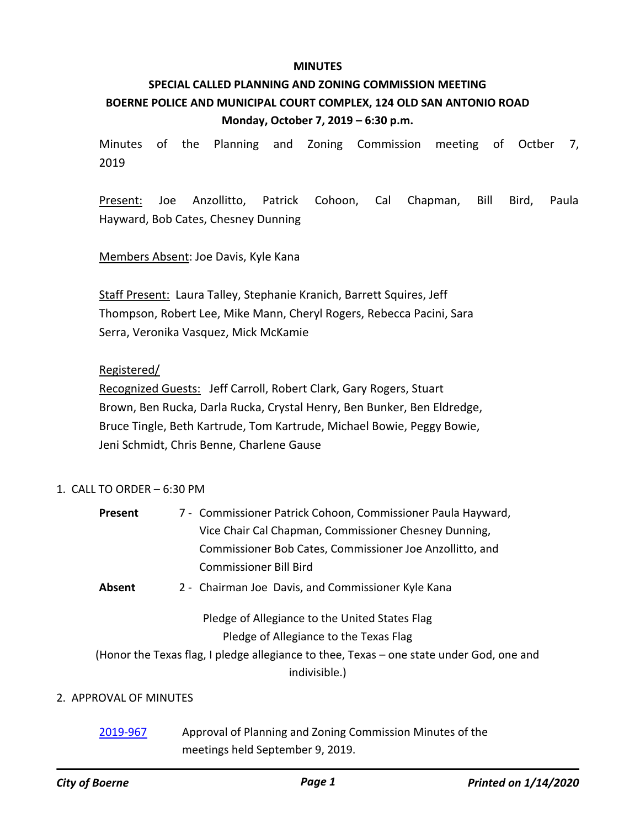#### **MINUTES**

# **SPECIAL CALLED PLANNING AND ZONING COMMISSION MEETING BOERNE POLICE AND MUNICIPAL COURT COMPLEX, 124 OLD SAN ANTONIO ROAD Monday, October 7, 2019 – 6:30 p.m.**

Minutes of the Planning and Zoning Commission meeting of Octber 7, 2019

Present: Joe Anzollitto, Patrick Cohoon, Cal Chapman, Bill Bird, Paula Hayward, Bob Cates, Chesney Dunning

Members Absent: Joe Davis, Kyle Kana

Staff Present: Laura Talley, Stephanie Kranich, Barrett Squires, Jeff Thompson, Robert Lee, Mike Mann, Cheryl Rogers, Rebecca Pacini, Sara Serra, Veronika Vasquez, Mick McKamie

### Registered/

Recognized Guests: Jeff Carroll, Robert Clark, Gary Rogers, Stuart Brown, Ben Rucka, Darla Rucka, Crystal Henry, Ben Bunker, Ben Eldredge, Bruce Tingle, Beth Kartrude, Tom Kartrude, Michael Bowie, Peggy Bowie, Jeni Schmidt, Chris Benne, Charlene Gause

## 1. CALL TO ORDER – 6:30 PM

- Commissioner Patrick Cohoon, Commissioner Paula Hayward, Vice Chair Cal Chapman, Commissioner Chesney Dunning, Commissioner Bob Cates, Commissioner Joe Anzollitto, and Commissioner Bill Bird **Present**
- **Absent** 2 Chairman Joe Davis, and Commissioner Kyle Kana

## Pledge of Allegiance to the United States Flag Pledge of Allegiance to the Texas Flag

(Honor the Texas flag, I pledge allegiance to thee, Texas – one state under God, one and indivisible.)

## 2. APPROVAL OF MINUTES

[2019-967](http://boerne.legistar.com/gateway.aspx?m=l&id=/matter.aspx?key=4793) Approval of Planning and Zoning Commission Minutes of the meetings held September 9, 2019.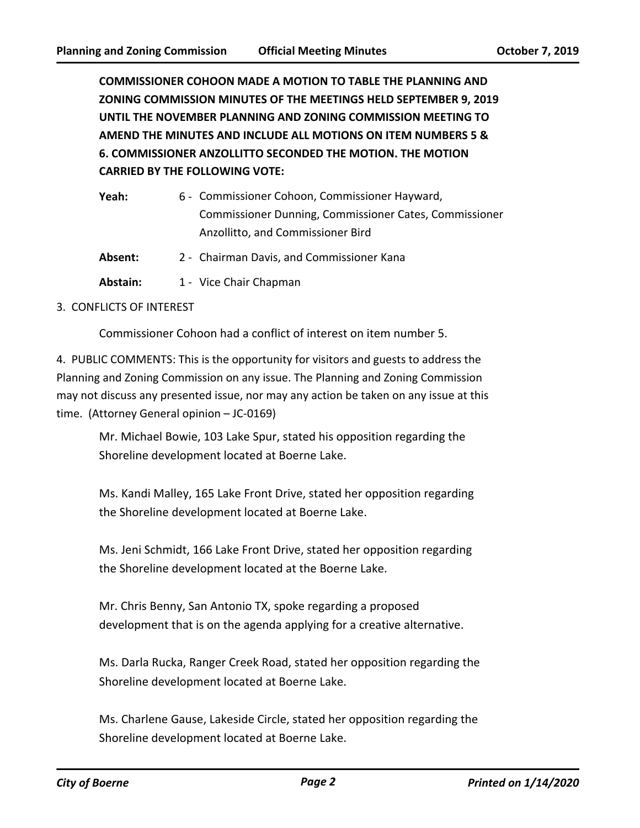**COMMISSIONER COHOON MADE A MOTION TO TABLE THE PLANNING AND ZONING COMMISSION MINUTES OF THE MEETINGS HELD SEPTEMBER 9, 2019 UNTIL THE NOVEMBER PLANNING AND ZONING COMMISSION MEETING TO AMEND THE MINUTES AND INCLUDE ALL MOTIONS ON ITEM NUMBERS 5 & 6. COMMISSIONER ANZOLLITTO SECONDED THE MOTION. THE MOTION CARRIED BY THE FOLLOWING VOTE:**

| Yeah:    | 6 - Commissioner Cohoon, Commissioner Hayward,         |
|----------|--------------------------------------------------------|
|          | Commissioner Dunning, Commissioner Cates, Commissioner |
|          | Anzollitto, and Commissioner Bird                      |
| Absent:  | 2 - Chairman Davis, and Commissioner Kana              |
| Abstain: | 1 - Vice Chair Chapman                                 |

#### 3. CONFLICTS OF INTEREST

Commissioner Cohoon had a conflict of interest on item number 5.

4. PUBLIC COMMENTS: This is the opportunity for visitors and guests to address the Planning and Zoning Commission on any issue. The Planning and Zoning Commission may not discuss any presented issue, nor may any action be taken on any issue at this time. (Attorney General opinion – JC-0169)

Mr. Michael Bowie, 103 Lake Spur, stated his opposition regarding the Shoreline development located at Boerne Lake.

Ms. Kandi Malley, 165 Lake Front Drive, stated her opposition regarding the Shoreline development located at Boerne Lake.

Ms. Jeni Schmidt, 166 Lake Front Drive, stated her opposition regarding the Shoreline development located at the Boerne Lake.

Mr. Chris Benny, San Antonio TX, spoke regarding a proposed development that is on the agenda applying for a creative alternative.

Ms. Darla Rucka, Ranger Creek Road, stated her opposition regarding the Shoreline development located at Boerne Lake.

Ms. Charlene Gause, Lakeside Circle, stated her opposition regarding the Shoreline development located at Boerne Lake.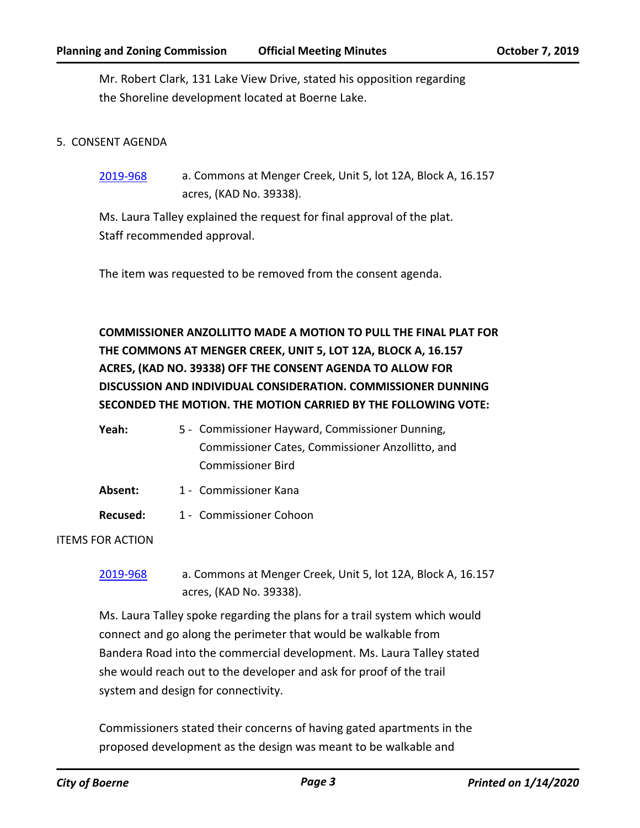Mr. Robert Clark, 131 Lake View Drive, stated his opposition regarding the Shoreline development located at Boerne Lake.

#### 5. CONSENT AGENDA

[2019-968](http://boerne.legistar.com/gateway.aspx?m=l&id=/matter.aspx?key=4794) a. Commons at Menger Creek, Unit 5, lot 12A, Block A, 16.157 acres, (KAD No. 39338).

Ms. Laura Talley explained the request for final approval of the plat. Staff recommended approval.

The item was requested to be removed from the consent agenda.

**COMMISSIONER ANZOLLITTO MADE A MOTION TO PULL THE FINAL PLAT FOR THE COMMONS AT MENGER CREEK, UNIT 5, LOT 12A, BLOCK A, 16.157 ACRES, (KAD NO. 39338) OFF THE CONSENT AGENDA TO ALLOW FOR DISCUSSION AND INDIVIDUAL CONSIDERATION. COMMISSIONER DUNNING SECONDED THE MOTION. THE MOTION CARRIED BY THE FOLLOWING VOTE:**

| Yeah: | 5 - Commissioner Hayward, Commissioner Dunning,  |
|-------|--------------------------------------------------|
|       | Commissioner Cates, Commissioner Anzollitto, and |
|       | Commissioner Bird                                |

- Absent: 1 Commissioner Kana
- **Recused:** 1 Commissioner Cohoon

ITEMS FOR ACTION

[2019-968](http://boerne.legistar.com/gateway.aspx?m=l&id=/matter.aspx?key=4794) a. Commons at Menger Creek, Unit 5, lot 12A, Block A, 16.157 acres, (KAD No. 39338).

Ms. Laura Talley spoke regarding the plans for a trail system which would connect and go along the perimeter that would be walkable from Bandera Road into the commercial development. Ms. Laura Talley stated she would reach out to the developer and ask for proof of the trail system and design for connectivity.

Commissioners stated their concerns of having gated apartments in the proposed development as the design was meant to be walkable and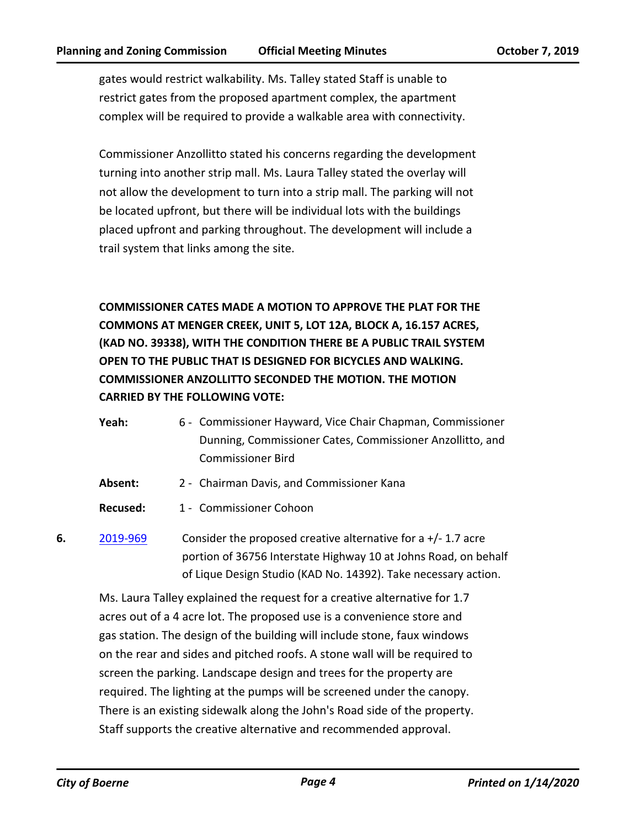gates would restrict walkability. Ms. Talley stated Staff is unable to restrict gates from the proposed apartment complex, the apartment complex will be required to provide a walkable area with connectivity.

Commissioner Anzollitto stated his concerns regarding the development turning into another strip mall. Ms. Laura Talley stated the overlay will not allow the development to turn into a strip mall. The parking will not be located upfront, but there will be individual lots with the buildings placed upfront and parking throughout. The development will include a trail system that links among the site.

**COMMISSIONER CATES MADE A MOTION TO APPROVE THE PLAT FOR THE COMMONS AT MENGER CREEK, UNIT 5, LOT 12A, BLOCK A, 16.157 ACRES, (KAD NO. 39338), WITH THE CONDITION THERE BE A PUBLIC TRAIL SYSTEM OPEN TO THE PUBLIC THAT IS DESIGNED FOR BICYCLES AND WALKING. COMMISSIONER ANZOLLITTO SECONDED THE MOTION. THE MOTION CARRIED BY THE FOLLOWING VOTE:**

- Yeah: 6 Commissioner Hayward, Vice Chair Chapman, Commissioner Dunning, Commissioner Cates, Commissioner Anzollitto, and Commissioner Bird
- **Absent:** 2 Chairman Davis, and Commissioner Kana
- **Recused:** 1 Commissioner Cohoon
- **6.** [2019-969](http://boerne.legistar.com/gateway.aspx?m=l&id=/matter.aspx?key=4795) Consider the proposed creative alternative for a +/- 1.7 acre portion of 36756 Interstate Highway 10 at Johns Road, on behalf of Lique Design Studio (KAD No. 14392). Take necessary action.

Ms. Laura Talley explained the request for a creative alternative for 1.7 acres out of a 4 acre lot. The proposed use is a convenience store and gas station. The design of the building will include stone, faux windows on the rear and sides and pitched roofs. A stone wall will be required to screen the parking. Landscape design and trees for the property are required. The lighting at the pumps will be screened under the canopy. There is an existing sidewalk along the John's Road side of the property. Staff supports the creative alternative and recommended approval.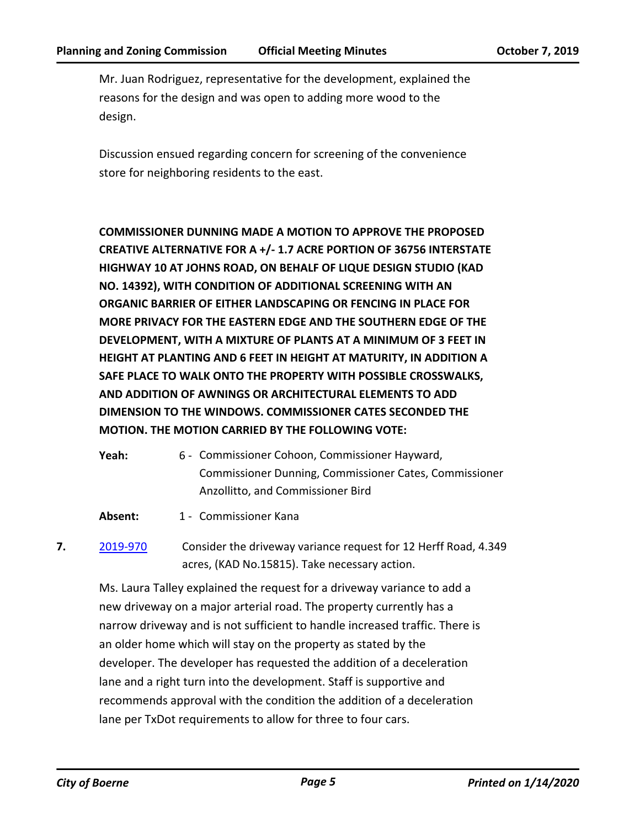Mr. Juan Rodriguez, representative for the development, explained the reasons for the design and was open to adding more wood to the design.

Discussion ensued regarding concern for screening of the convenience store for neighboring residents to the east.

**COMMISSIONER DUNNING MADE A MOTION TO APPROVE THE PROPOSED CREATIVE ALTERNATIVE FOR A +/- 1.7 ACRE PORTION OF 36756 INTERSTATE HIGHWAY 10 AT JOHNS ROAD, ON BEHALF OF LIQUE DESIGN STUDIO (KAD NO. 14392), WITH CONDITION OF ADDITIONAL SCREENING WITH AN ORGANIC BARRIER OF EITHER LANDSCAPING OR FENCING IN PLACE FOR MORE PRIVACY FOR THE EASTERN EDGE AND THE SOUTHERN EDGE OF THE DEVELOPMENT, WITH A MIXTURE OF PLANTS AT A MINIMUM OF 3 FEET IN HEIGHT AT PLANTING AND 6 FEET IN HEIGHT AT MATURITY, IN ADDITION A SAFE PLACE TO WALK ONTO THE PROPERTY WITH POSSIBLE CROSSWALKS, AND ADDITION OF AWNINGS OR ARCHITECTURAL ELEMENTS TO ADD DIMENSION TO THE WINDOWS. COMMISSIONER CATES SECONDED THE MOTION. THE MOTION CARRIED BY THE FOLLOWING VOTE:**

- Yeah: 6 Commissioner Cohoon, Commissioner Hayward, Commissioner Dunning, Commissioner Cates, Commissioner Anzollitto, and Commissioner Bird
- Absent: 1 Commissioner Kana
- **7.** [2019-970](http://boerne.legistar.com/gateway.aspx?m=l&id=/matter.aspx?key=4796) Consider the driveway variance request for 12 Herff Road, 4.349 acres, (KAD No.15815). Take necessary action.

Ms. Laura Talley explained the request for a driveway variance to add a new driveway on a major arterial road. The property currently has a narrow driveway and is not sufficient to handle increased traffic. There is an older home which will stay on the property as stated by the developer. The developer has requested the addition of a deceleration lane and a right turn into the development. Staff is supportive and recommends approval with the condition the addition of a deceleration lane per TxDot requirements to allow for three to four cars.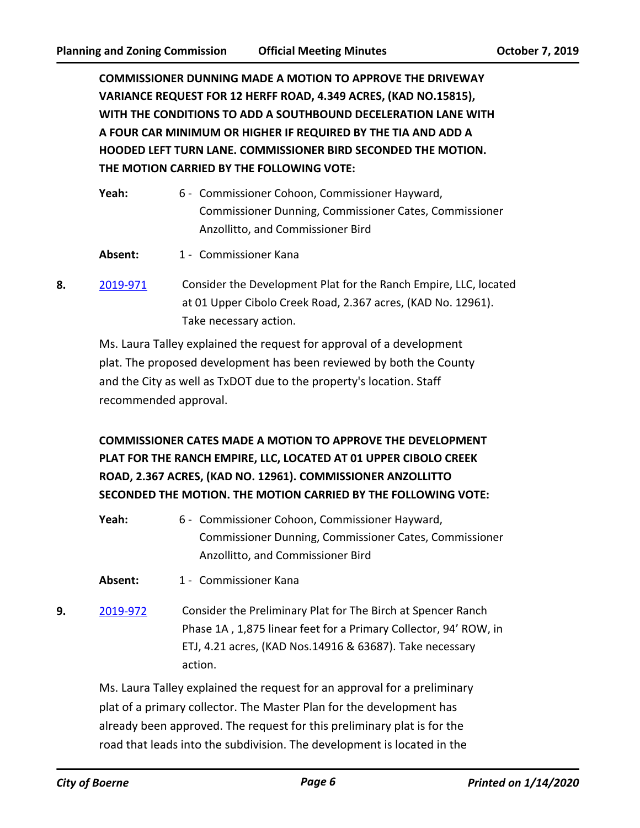**COMMISSIONER DUNNING MADE A MOTION TO APPROVE THE DRIVEWAY VARIANCE REQUEST FOR 12 HERFF ROAD, 4.349 ACRES, (KAD NO.15815), WITH THE CONDITIONS TO ADD A SOUTHBOUND DECELERATION LANE WITH A FOUR CAR MINIMUM OR HIGHER IF REQUIRED BY THE TIA AND ADD A HOODED LEFT TURN LANE. COMMISSIONER BIRD SECONDED THE MOTION. THE MOTION CARRIED BY THE FOLLOWING VOTE:**

| Yeah: | 6 - Commissioner Cohoon, Commissioner Hayward,         |
|-------|--------------------------------------------------------|
|       | Commissioner Dunning, Commissioner Cates, Commissioner |
|       | Anzollitto, and Commissioner Bird                      |
|       |                                                        |

- Absent: 1 Commissioner Kana
- **8.** [2019-971](http://boerne.legistar.com/gateway.aspx?m=l&id=/matter.aspx?key=4797) Consider the Development Plat for the Ranch Empire, LLC, located at 01 Upper Cibolo Creek Road, 2.367 acres, (KAD No. 12961). Take necessary action.

Ms. Laura Talley explained the request for approval of a development plat. The proposed development has been reviewed by both the County and the City as well as TxDOT due to the property's location. Staff recommended approval.

**COMMISSIONER CATES MADE A MOTION TO APPROVE THE DEVELOPMENT PLAT FOR THE RANCH EMPIRE, LLC, LOCATED AT 01 UPPER CIBOLO CREEK ROAD, 2.367 ACRES, (KAD NO. 12961). COMMISSIONER ANZOLLITTO SECONDED THE MOTION. THE MOTION CARRIED BY THE FOLLOWING VOTE:**

- Yeah: 6 Commissioner Cohoon, Commissioner Hayward, Commissioner Dunning, Commissioner Cates, Commissioner Anzollitto, and Commissioner Bird
- Absent: 1 Commissioner Kana
- **9.** [2019-972](http://boerne.legistar.com/gateway.aspx?m=l&id=/matter.aspx?key=4798) Consider the Preliminary Plat for The Birch at Spencer Ranch Phase 1A , 1,875 linear feet for a Primary Collector, 94' ROW, in ETJ, 4.21 acres, (KAD Nos.14916 & 63687). Take necessary action.

Ms. Laura Talley explained the request for an approval for a preliminary plat of a primary collector. The Master Plan for the development has already been approved. The request for this preliminary plat is for the road that leads into the subdivision. The development is located in the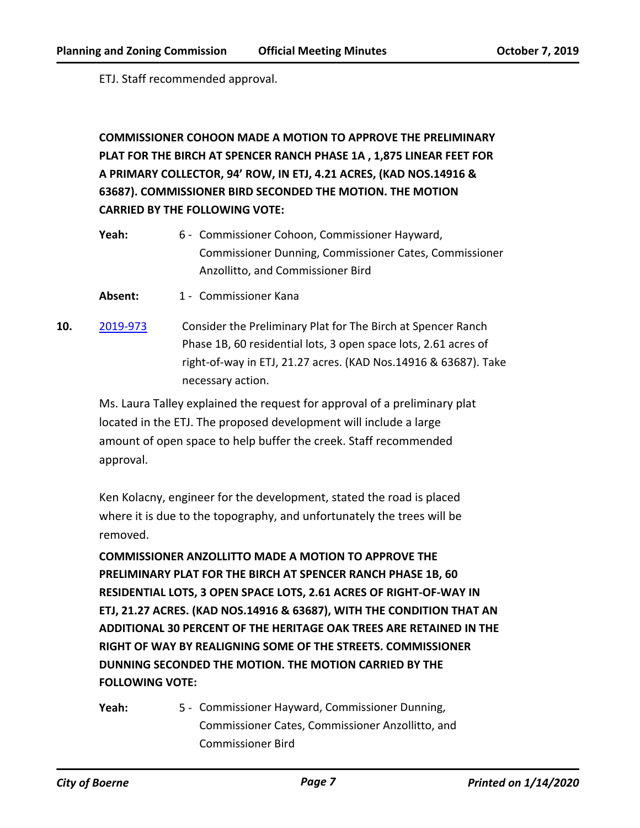ETJ. Staff recommended approval.

# **COMMISSIONER COHOON MADE A MOTION TO APPROVE THE PRELIMINARY PLAT FOR THE BIRCH AT SPENCER RANCH PHASE 1A , 1,875 LINEAR FEET FOR A PRIMARY COLLECTOR, 94' ROW, IN ETJ, 4.21 ACRES, (KAD NOS.14916 & 63687). COMMISSIONER BIRD SECONDED THE MOTION. THE MOTION CARRIED BY THE FOLLOWING VOTE:**

- Yeah: 6 Commissioner Cohoon, Commissioner Hayward, Commissioner Dunning, Commissioner Cates, Commissioner Anzollitto, and Commissioner Bird
- **Absent:** 1 Commissioner Kana
- **10.** [2019-973](http://boerne.legistar.com/gateway.aspx?m=l&id=/matter.aspx?key=4799) Consider the Preliminary Plat for The Birch at Spencer Ranch Phase 1B, 60 residential lots, 3 open space lots, 2.61 acres of right-of-way in ETJ, 21.27 acres. (KAD Nos.14916 & 63687). Take necessary action.

Ms. Laura Talley explained the request for approval of a preliminary plat located in the ETJ. The proposed development will include a large amount of open space to help buffer the creek. Staff recommended approval.

Ken Kolacny, engineer for the development, stated the road is placed where it is due to the topography, and unfortunately the trees will be removed.

**COMMISSIONER ANZOLLITTO MADE A MOTION TO APPROVE THE PRELIMINARY PLAT FOR THE BIRCH AT SPENCER RANCH PHASE 1B, 60 RESIDENTIAL LOTS, 3 OPEN SPACE LOTS, 2.61 ACRES OF RIGHT-OF-WAY IN ETJ, 21.27 ACRES. (KAD NOS.14916 & 63687), WITH THE CONDITION THAT AN ADDITIONAL 30 PERCENT OF THE HERITAGE OAK TREES ARE RETAINED IN THE RIGHT OF WAY BY REALIGNING SOME OF THE STREETS. COMMISSIONER DUNNING SECONDED THE MOTION. THE MOTION CARRIED BY THE FOLLOWING VOTE:**

Yeah: 5 - Commissioner Hayward, Commissioner Dunning, Commissioner Cates, Commissioner Anzollitto, and Commissioner Bird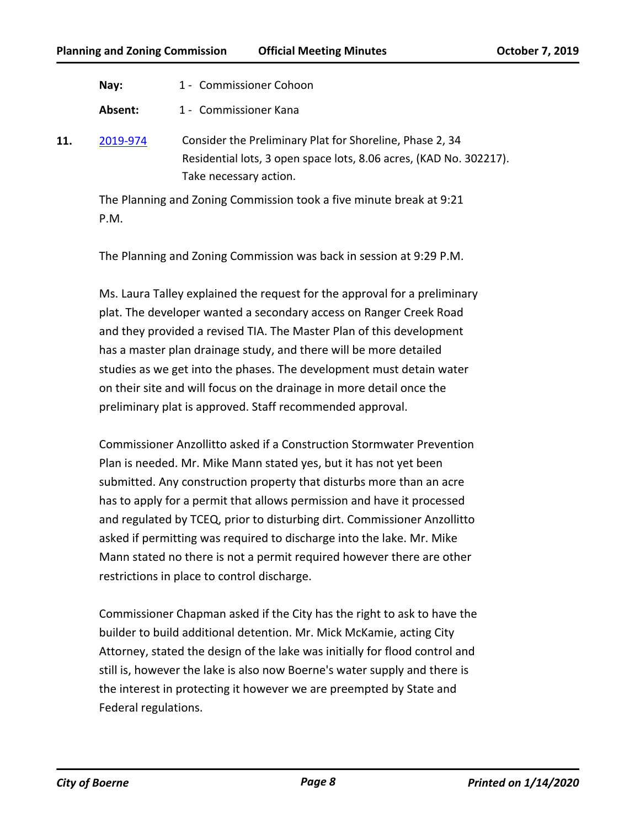| Nay: |  | 1 - Commissioner Cohoon |  |
|------|--|-------------------------|--|
|------|--|-------------------------|--|

Absent: 1 - Commissioner Kana

**11.** [2019-974](http://boerne.legistar.com/gateway.aspx?m=l&id=/matter.aspx?key=4800) Consider the Preliminary Plat for Shoreline, Phase 2, 34 Residential lots, 3 open space lots, 8.06 acres, (KAD No. 302217). Take necessary action.

The Planning and Zoning Commission took a five minute break at 9:21 P.M.

The Planning and Zoning Commission was back in session at 9:29 P.M.

Ms. Laura Talley explained the request for the approval for a preliminary plat. The developer wanted a secondary access on Ranger Creek Road and they provided a revised TIA. The Master Plan of this development has a master plan drainage study, and there will be more detailed studies as we get into the phases. The development must detain water on their site and will focus on the drainage in more detail once the preliminary plat is approved. Staff recommended approval.

Commissioner Anzollitto asked if a Construction Stormwater Prevention Plan is needed. Mr. Mike Mann stated yes, but it has not yet been submitted. Any construction property that disturbs more than an acre has to apply for a permit that allows permission and have it processed and regulated by TCEQ, prior to disturbing dirt. Commissioner Anzollitto asked if permitting was required to discharge into the lake. Mr. Mike Mann stated no there is not a permit required however there are other restrictions in place to control discharge.

Commissioner Chapman asked if the City has the right to ask to have the builder to build additional detention. Mr. Mick McKamie, acting City Attorney, stated the design of the lake was initially for flood control and still is, however the lake is also now Boerne's water supply and there is the interest in protecting it however we are preempted by State and Federal regulations.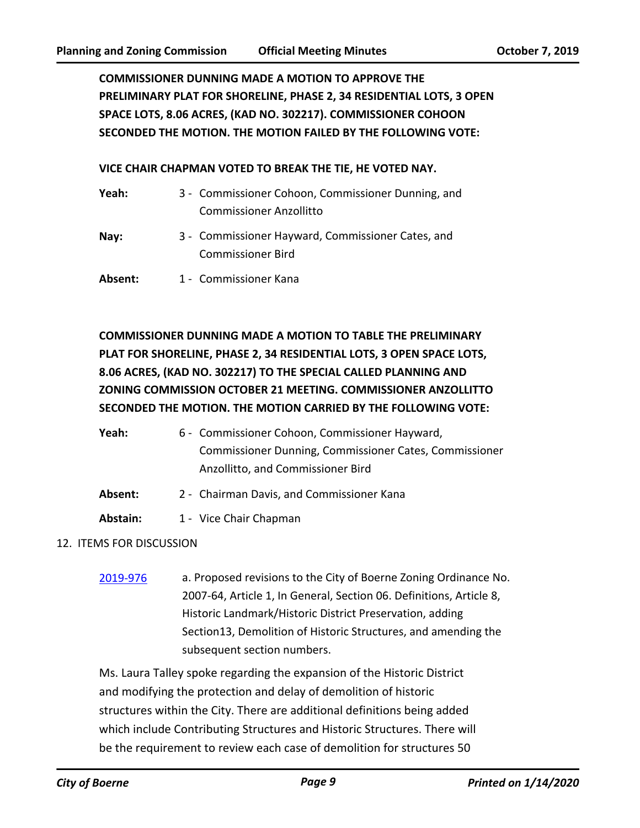**COMMISSIONER DUNNING MADE A MOTION TO APPROVE THE PRELIMINARY PLAT FOR SHORELINE, PHASE 2, 34 RESIDENTIAL LOTS, 3 OPEN SPACE LOTS, 8.06 ACRES, (KAD NO. 302217). COMMISSIONER COHOON SECONDED THE MOTION. THE MOTION FAILED BY THE FOLLOWING VOTE:**

#### **VICE CHAIR CHAPMAN VOTED TO BREAK THE TIE, HE VOTED NAY.**

| Yeah:   | 3 - Commissioner Cohoon, Commissioner Dunning, and                            |
|---------|-------------------------------------------------------------------------------|
|         | <b>Commissioner Anzollitto</b>                                                |
| Nay:    | 3 - Commissioner Hayward, Commissioner Cates, and<br><b>Commissioner Bird</b> |
| Absent: | 1 - Commissioner Kana                                                         |

**COMMISSIONER DUNNING MADE A MOTION TO TABLE THE PRELIMINARY PLAT FOR SHORELINE, PHASE 2, 34 RESIDENTIAL LOTS, 3 OPEN SPACE LOTS, 8.06 ACRES, (KAD NO. 302217) TO THE SPECIAL CALLED PLANNING AND ZONING COMMISSION OCTOBER 21 MEETING. COMMISSIONER ANZOLLITTO SECONDED THE MOTION. THE MOTION CARRIED BY THE FOLLOWING VOTE:**

| Yeah: | 6 - Commissioner Cohoon, Commissioner Hayward,         |
|-------|--------------------------------------------------------|
|       | Commissioner Dunning, Commissioner Cates, Commissioner |
|       | Anzollitto, and Commissioner Bird                      |

- **Absent:** 2 Chairman Davis, and Commissioner Kana
- Abstain: 1 Vice Chair Chapman

#### 12. ITEMS FOR DISCUSSION

[2019-976](http://boerne.legistar.com/gateway.aspx?m=l&id=/matter.aspx?key=4802) a. Proposed revisions to the City of Boerne Zoning Ordinance No. 2007-64, Article 1, In General, Section 06. Definitions, Article 8, Historic Landmark/Historic District Preservation, adding Section13, Demolition of Historic Structures, and amending the subsequent section numbers.

Ms. Laura Talley spoke regarding the expansion of the Historic District and modifying the protection and delay of demolition of historic structures within the City. There are additional definitions being added which include Contributing Structures and Historic Structures. There will be the requirement to review each case of demolition for structures 50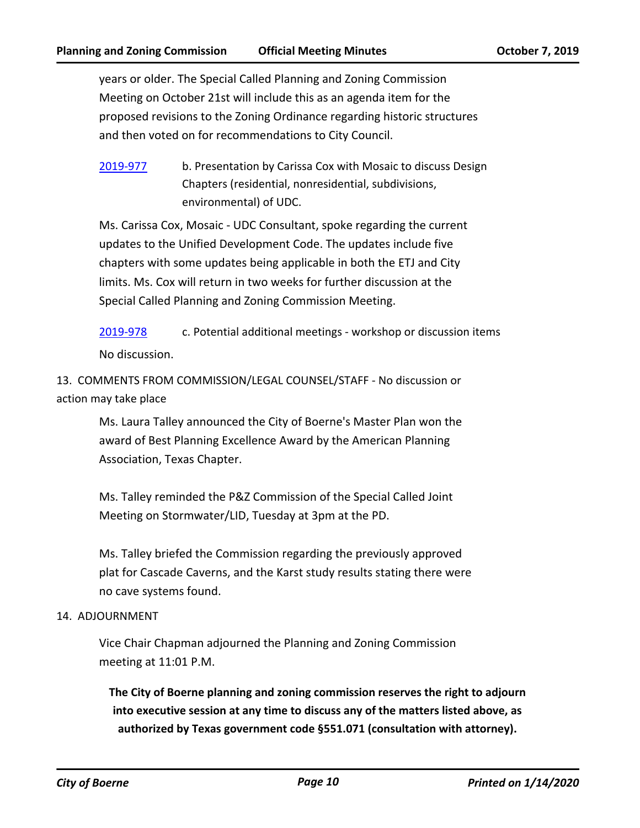years or older. The Special Called Planning and Zoning Commission Meeting on October 21st will include this as an agenda item for the proposed revisions to the Zoning Ordinance regarding historic structures and then voted on for recommendations to City Council.

[2019-977](http://boerne.legistar.com/gateway.aspx?m=l&id=/matter.aspx?key=4803) b. Presentation by Carissa Cox with Mosaic to discuss Design Chapters (residential, nonresidential, subdivisions, environmental) of UDC.

Ms. Carissa Cox, Mosaic - UDC Consultant, spoke regarding the current updates to the Unified Development Code. The updates include five chapters with some updates being applicable in both the ETJ and City limits. Ms. Cox will return in two weeks for further discussion at the Special Called Planning and Zoning Commission Meeting.

[2019-978](http://boerne.legistar.com/gateway.aspx?m=l&id=/matter.aspx?key=4804) c. Potential additional meetings - workshop or discussion items No discussion.

13. COMMENTS FROM COMMISSION/LEGAL COUNSEL/STAFF - No discussion or action may take place

> Ms. Laura Talley announced the City of Boerne's Master Plan won the award of Best Planning Excellence Award by the American Planning Association, Texas Chapter.

Ms. Talley reminded the P&Z Commission of the Special Called Joint Meeting on Stormwater/LID, Tuesday at 3pm at the PD.

Ms. Talley briefed the Commission regarding the previously approved plat for Cascade Caverns, and the Karst study results stating there were no cave systems found.

#### 14. ADJOURNMENT

Vice Chair Chapman adjourned the Planning and Zoning Commission meeting at 11:01 P.M.

**The City of Boerne planning and zoning commission reserves the right to adjourn into executive session at any time to discuss any of the matters listed above, as authorized by Texas government code §551.071 (consultation with attorney).**